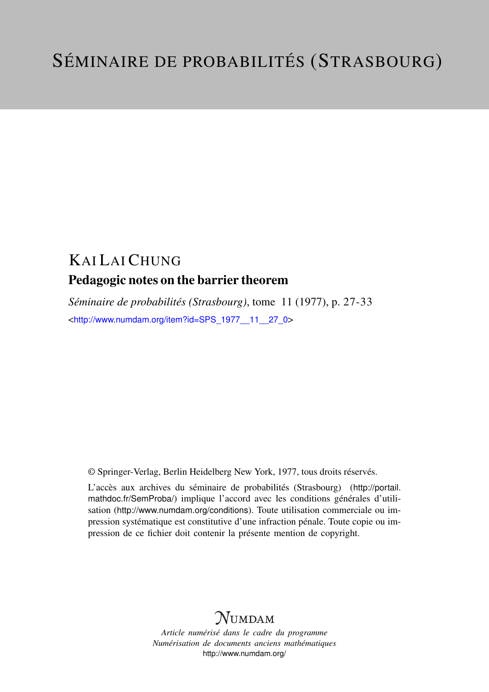## KAI LAI CHUNG Pedagogic notes on the barrier theorem

*Séminaire de probabilités (Strasbourg)*, tome 11 (1977), p. 27-33 <[http://www.numdam.org/item?id=SPS\\_1977\\_\\_11\\_\\_27\\_0](http://www.numdam.org/item?id=SPS_1977__11__27_0)>

© Springer-Verlag, Berlin Heidelberg New York, 1977, tous droits réservés.

L'accès aux archives du séminaire de probabilités (Strasbourg) ([http://portail.](http://portail.mathdoc.fr/SemProba/) [mathdoc.fr/SemProba/](http://portail.mathdoc.fr/SemProba/)) implique l'accord avec les conditions générales d'utilisation (<http://www.numdam.org/conditions>). Toute utilisation commerciale ou impression systématique est constitutive d'une infraction pénale. Toute copie ou impression de ce fichier doit contenir la présente mention de copyright.

## **NUMDAM**

*Article numérisé dans le cadre du programme Numérisation de documents anciens mathématiques* <http://www.numdam.org/>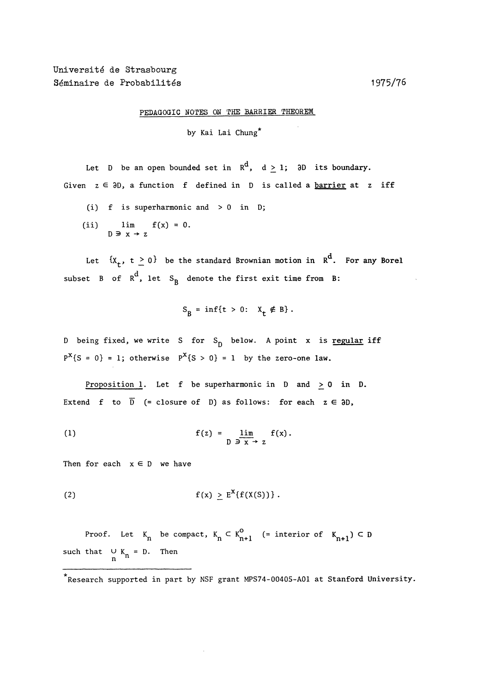PEDAGOGIC NOTES ON THE BARRIER THEOREM

by Kai Lai Chung\*

Let D be an open bounded set in  $R^d$ ,  $d \ge 1$ ; 3D its boundary. Given  $z \in \partial D$ , a function f defined in D is called a <u>barrier</u> at z iff

- (i)  $f$  is superharmonic and  $> 0$  in D;
- (ii)  $\lim_{D \to \infty} f(x) = 0.$

Let  ${x_t, t \ge 0}$  be the standard Brownian motion in  $R^d$ . For any Borel subset B of  $R^d$ , let S<sub>B</sub> denote the first exit time from B:

$$
S_B = \inf\{t > 0: \quad X_t \notin B\}.
$$

D being fixed, we write S for  $S_p$  below. A point x is regular iff  $P^{X}$ {S = 0} = 1; otherwise  $P^{X}$ {S > 0} = 1 by the zero-one law.

Proposition 1. Let f be superharmonic in  $D$  and  $\geq 0$  in  $D$ . Extend f to  $\overline{D}$  (= closure of D) as follows: for each  $z \in \partial D$ ,

(1) 
$$
f(z) = \lim_{\substack{D \to X \to z}} f(x).
$$

Then for each  $x \in D$  we have

$$
f(x) \ge E^X\{f(X(S))\}.
$$

Proof. Let  $K_n$  be compact,  $K_n \subset K_{n+1}^0$  (= interior of  $K_{n+1}$ )  $\subset D$ such that  $\bigcup_{n} K_n = D$ . Then

<sup>\*</sup>Research supported in part by NSF grant MPS74-00405-A01 at Stanford University.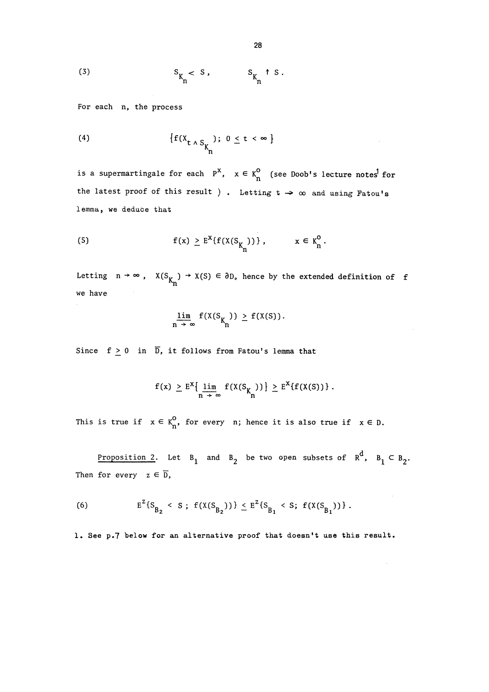$$
\begin{array}{ccc}\n\text{(3)} & \text{s}_{\mathbf{K}_{\mathbf{n}}} < \text{s}_{\mathbf{s}} & \text{S}_{\mathbf{K}_{\mathbf{n}}} & \text{S}_{\mathbf{s}} \\
\text{s}_{\mathbf{K}_{\mathbf{n}}} & & \text{s}_{\mathbf{K}_{\mathbf{n}}} & \text{s}_{\mathbf{s}}\n\end{array}
$$

For each n, the process

(4) 
$$
\{f(X_{t \wedge S_{K_{n}}}); 0 \leq t < \infty\}
$$

is a supermartingale for each  $P^X$ ,  $x \in K_n^0$  (see Doob's lecture notes<sup>1</sup> for the latest proof of this result ). Letting  $t \rightarrow \infty$  and using Fatou's lemma, we deduce that

(5) 
$$
f(x) \ge E^{x} \{f(X(S_{K_{n}}))\}, \qquad x \in K_{n}^{0}.
$$

Letting  $n \to \infty$ ,  $X(S_{K_{n}}) \to X(S) \in \partial D$ , hence by the extended definition of f we have

$$
\lim_{n \to \infty} f(X(S_{K_{n}})) \geq f(X(S)).
$$

Since  $f \ge 0$  in  $\overline{D}$ , it follows from Fatou's lemma that

$$
f(x) \geq E^{X} \left\{ \lim_{n \to \infty} f(X(S_{K_{n}})) \right\} \geq E^{X} \{ f(X(S)) \}.
$$

This is true if  $x \in K_n^0$ , for every n; hence it is also true if  $x \in D$ .

Proposition 2. Let  $B_1$  and  $B_2$  be two open subsets of  $R^d$ ,  $B_1 \subset B_2$ . Then for every  $z \in \overline{D}$ ,

(6) 
$$
E^{Z}\{S_{B_{2}} < S ; f(X(S_{B_{2}}))\} \leq E^{Z}\{S_{B_{1}} < S ; f(X(S_{B_{1}}))\}
$$
.

1. See p.7 below for an alternative proof that doesn't use this result.

 $\sim$   $\sim$ 

 $\bar{z}$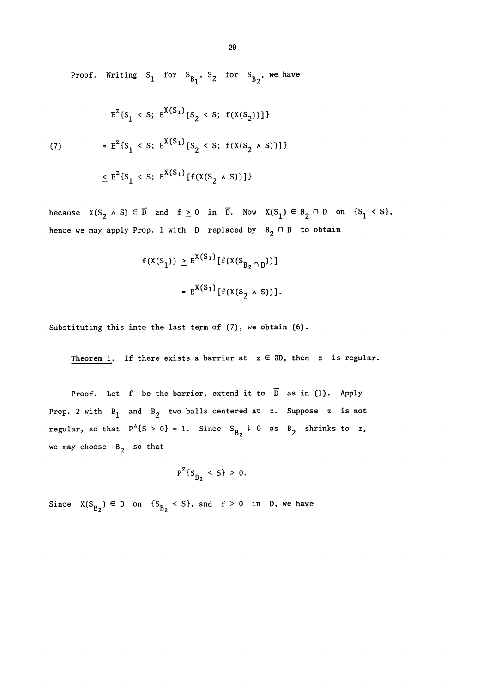Proof. Writing  $S_1$  for  $S_{B_1}$ ,  $S_2$  for  $S_{B_2}$ , we have

$$
E^{Z}\{S_{1} < S; E^{X(S_{1})}[S_{2} < S; f(X(S_{2}))]\}
$$
\n
$$
= E^{Z}\{S_{1} < S; E^{X(S_{1})}[S_{2} < S; f(X(S_{2} \land S))]\}
$$
\n
$$
\leq E^{Z}\{S_{1} < S; E^{X(S_{1})}[f(X(S_{2} \land S))]\}
$$

because  $X(S_2 \wedge S) \in \overline{D}$  and  $f \ge 0$  in  $\overline{D}$ . Now  $X(S_1) \in B_2 \cap D$  on  $\{S_1 \le S\}$ , hence we may apply Prop. 1 with D replaced by  $B_2 \cap D$  to obtain

$$
f(X(S_1)) \ge E^{X(S_1)}[f(X(S_{B_2 \cap D}))]
$$
  
=  $E^{X(S_1)}[f(X(S_2 \land S))].$ 

Substituting this into the last term of (7), we obtain (6).

Theorem 1. If there exists a barrier at  $z \in \partial D$ , then z is regular.

Proof. Let f be the barrier, extend it to  $\overline{D}$  as in (1). Apply Prop. 2 with  $B_1$  and  $B_2$  two balls centered at z. Suppose z is not regular, so that  $P^{Z} \{S > 0\} = 1$ . Since  $S_{B_2} \downarrow 0$  as  $B_2$  shrinks to z, we may choose  $B_2$  so that

$$
P^{Z}\{S_{B_{2}} < S\} > 0.
$$

Since  $X(S_{B_2}) \in D$  on  $\{S_{B_2} \le S\}$ , and  $f > 0$  in D, we have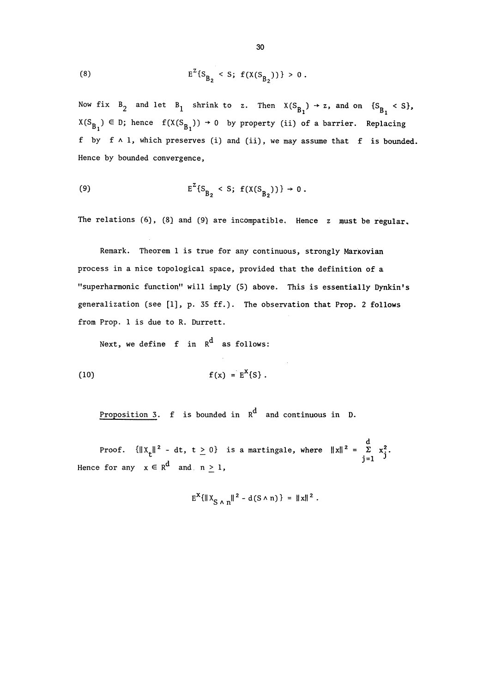(8) 
$$
E^{Z} \{S_{B_{2}} < S; f(X(S_{B_{2}}))\} > 0
$$
.

Now fix  $B_2$  and let  $B_1$  shrink to z. Then  $X(S_{B_1}) \rightarrow z$ , and on  $\{S_{B_1} \leq S\}$ ,  $X(S_{B_1}) \in D$ ; hence  $f(X(S_{B_1})) \rightarrow 0$  by property (ii) of a barrier. Replacing f by  $f \wedge 1$ , which preserves (i) and (ii), we may assume that  $f$  is bounded. Hence by bounded convergence,

(9) 
$$
E^Z\{S_{B_2} < S; f(X(S_{B_2}))\} \to 0
$$
.

The relations  $(6)$ ,  $(8)$  and  $(9)$  are incompatible. Hence z must be regular.

Remark. Theorem 1 is true for any continuous, strongly Marxovian process in a nice topological space, provided that the definition of a "superharmonic function" will imply (5) above. This is essentially Dynkin's generalization (see [1], p. 35 ff.). The observation that Prop. 2 follows from Prop. 1 is due to R. Durrett.

Next, we define  $f$  in  $R^d$  as follows:

(10) 
$$
f(x) = E^{X}\{S\}
$$
.

Proposition 3.  $f$  is bounded in  $R^d$  and continuous in D.

Proof.  $\{\|X_t\|^2 - dt, t \ge 0\}$  is a martingale, where  $\|x\|^2 = \sum_{i=1}^d x_i^2$ . Hence for any  $x \in R^d$  and  $n \ge 1$ ,

$$
E^X \{ ||X_{S \wedge n}||^2 - d(S \wedge n) \} = ||x||^2
$$
.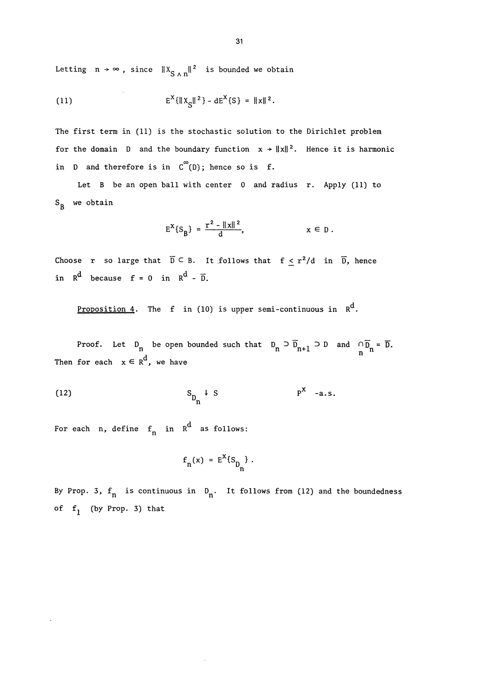Letting  $n \to \infty$ , since  $||x_{S \wedge n}||^2$  is bounded we obtain

(11) 
$$
E^{X}\{\|X_{S}\|^{2}\} - dE^{X}\{S\} = \|x\|^{2}.
$$

The first term in (11) is the stochastic solution to the Dirichlet problem for the domain D and the boundary function  $x \rightarrow ||x||^2$ . Hence it is harmonic in D and therefore is in  $C^{\infty}(D)$ ; hence so is f.

Let B be an open ball with center 0 and radius r. Apply (11) to  $S_R$  we obtain

$$
E^{X}\{S_{B}\} = \frac{r^{2} - ||x||^{2}}{d}, \qquad x \in D
$$

Choose r so large that  $\overline{D} \subseteq B$ . It follows that  $f \leq r^2/d$  in  $\overline{D}$ , hence in  $R^d$  because  $f = 0$  in  $R^d - \overline{D}$ .

Proposition 4. The f in (10) is upper semi-continuous in  $R^d$ .

Proof. Let  $D_n$  be open bounded such that  $D_n \supset \overline{D}_{n+1} \supset D$  and  $\bigcap_{n=1}^{\infty} \overline{D}_n = \overline{D}$ . Then for each  $x \in R^d$ , we have

$$
\mathbf{S}_{\mathbf{D}_{\mathbf{n}}} \downarrow \mathbf{S} \qquad \mathbf{P}^{\mathbf{X}} \quad \text{-a.s.}
$$

For each n, define  $f_n$  in  $R^d$  as follows:

$$
f_n(x) = E^x \{s_{n}\}.
$$

 $\bar{z}$ 

By Prop. 3,  $f_n$  is continuous in  $D_n$ . It follows from (12) and the boundedness of  $f_1$  (by Prop. 3) that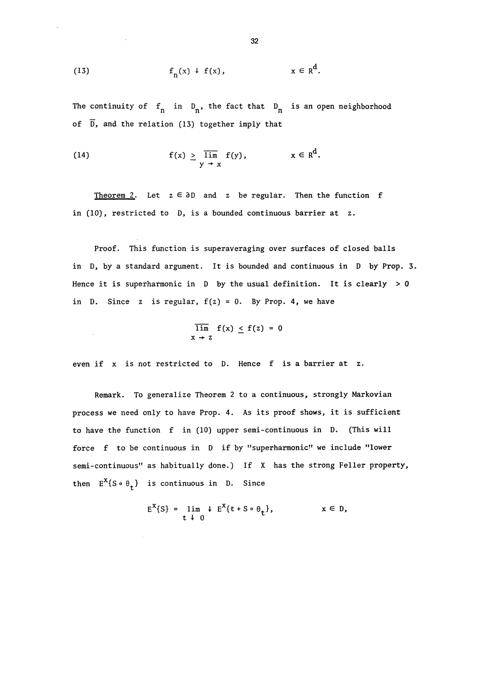(13) 
$$
f_n(x) + f(x), \qquad x \in R^d.
$$

The continuity of  $f_n$  in  $D_n$ , the fact that  $D_n$  is an open neighborhood of  $\overline{D}$ , and the relation (13) together imply that

(14) 
$$
f(x) \ge \overline{\lim}_{y \to x} f(y), \qquad x \in R^d.
$$

Theorem 2. Let  $z \in \partial D$  and z be regular. Then the function f in (10), restricted to D, is a bounded continuous barrier at z.

Proof. This function is superaveraging over surfaces of closed balls in D, by a standard argument. It is bounded and continuous in D by Prop. 3. Hence it is superharmonic in  $D$  by the usual definition. It is clearly  $> 0$ in D. Since z is regular,  $f(z) = 0$ . By Prop. 4, we have

$$
\overline{\lim}_{x \to z} f(x) \leq f(z) = 0
$$

even if x is not restricted to D. Hence f is a barrier at z.

Remark. To generalize Theorem 2 to a continuous, strongly Markovian process we need only to have Prop. 4. As its proof shows, it is sufficient to have the function f in (10) upper semi-continuous in D. (This will force f to be continuous in D if by "superharmonic" we include "lower semi-continuous" as habitually done.) If X has the strong Feller property, then  $E^{X} \{ S \circ \theta_{\dagger} \}$  is continuous in D. Since

$$
E^{X}\{S\} = \lim_{t \to 0} + E^{X}\{t + S \circ \theta_{t}\}, \qquad x \in D,
$$

32